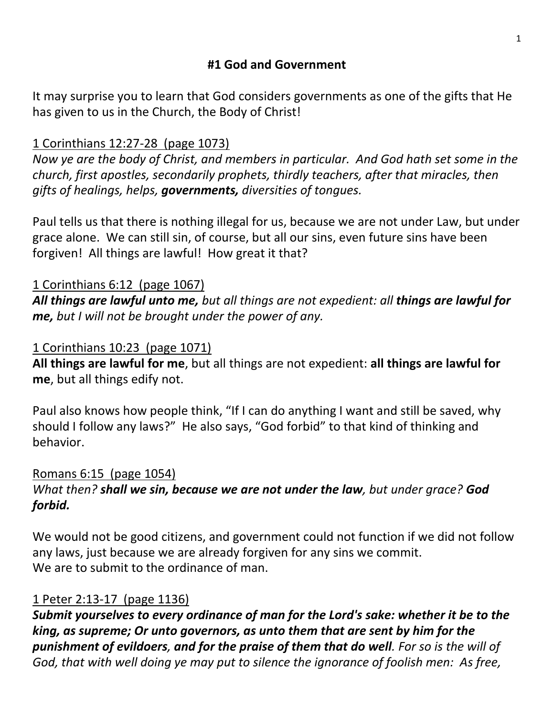## **#1 God and Government**

It may surprise you to learn that God considers governments as one of the gifts that He has given to us in the Church, the Body of Christ!

# 1 Corinthians 12:27-28 (page 1073)

*Now ye are the body of Christ, and members in particular. And God hath set some in the church, first apostles, secondarily prophets, thirdly teachers, after that miracles, then gifts of healings, helps, governments, diversities of tongues.*

Paul tells us that there is nothing illegal for us, because we are not under Law, but under grace alone. We can still sin, of course, but all our sins, even future sins have been forgiven! All things are lawful! How great it that?

## 1 Corinthians 6:12 (page 1067)

*All things are lawful unto me, but all things are not expedient: all things are lawful for me, but I will not be brought under the power of any.*

## 1 Corinthians 10:23 (page 1071)

**All things are lawful for me**, but all things are not expedient: **all things are lawful for me**, but all things edify not.

Paul also knows how people think, "If I can do anything I want and still be saved, why should I follow any laws?" He also says, "God forbid" to that kind of thinking and behavior.

## Romans 6:15 (page 1054)

#### *What then? shall we sin, because we are not under the law, but under grace? God forbid.*

We would not be good citizens, and government could not function if we did not follow any laws, just because we are already forgiven for any sins we commit. We are to submit to the ordinance of man.

## 1 Peter 2:13-17 (page 1136)

*Submit yourselves to every ordinance of man for the Lord's sake: whether it be to the king, as supreme; Or unto governors, as unto them that are sent by him for the punishment of evildoers, and for the praise of them that do well. For so is the will of God, that with well doing ye may put to silence the ignorance of foolish men: As free,*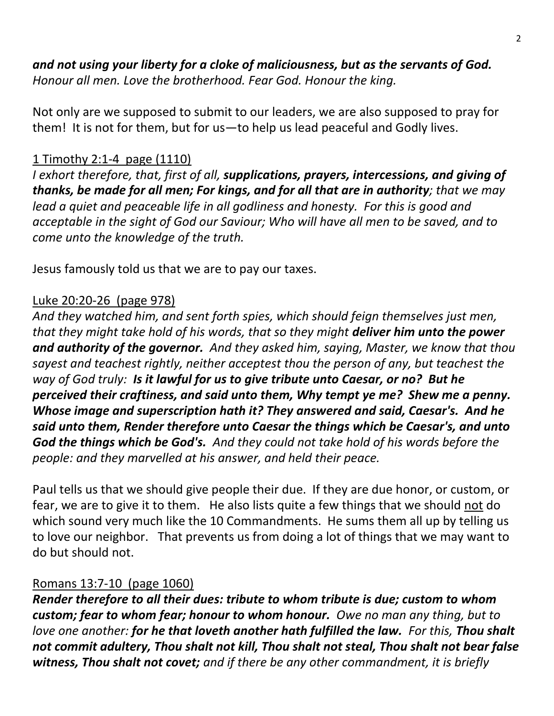## *and not using your liberty for a cloke of maliciousness, but as the servants of God. Honour all men. Love the brotherhood. Fear God. Honour the king.*

Not only are we supposed to submit to our leaders, we are also supposed to pray for them! It is not for them, but for us—to help us lead peaceful and Godly lives.

#### 1 Timothy 2:1-4 page (1110)

*I exhort therefore, that, first of all, supplications, prayers, intercessions, and giving of thanks, be made for all men; For kings, and for all that are in authority; that we may lead a quiet and peaceable life in all godliness and honesty. For this is good and acceptable in the sight of God our Saviour; Who will have all men to be saved, and to come unto the knowledge of the truth.*

Jesus famously told us that we are to pay our taxes.

#### Luke 20:20-26 (page 978)

*And they watched him, and sent forth spies, which should feign themselves just men, that they might take hold of his words, that so they might deliver him unto the power and authority of the governor. And they asked him, saying, Master, we know that thou sayest and teachest rightly, neither acceptest thou the person of any, but teachest the way of God truly: Is it lawful for us to give tribute unto Caesar, or no? But he perceived their craftiness, and said unto them, Why tempt ye me? Shew me a penny. Whose image and superscription hath it? They answered and said, Caesar's. And he said unto them, Render therefore unto Caesar the things which be Caesar's, and unto God the things which be God's. And they could not take hold of his words before the people: and they marvelled at his answer, and held their peace.*

Paul tells us that we should give people their due. If they are due honor, or custom, or fear, we are to give it to them. He also lists quite a few things that we should not do which sound very much like the 10 Commandments. He sums them all up by telling us to love our neighbor. That prevents us from doing a lot of things that we may want to do but should not.

#### Romans 13:7-10 (page 1060)

*Render therefore to all their dues: tribute to whom tribute is due; custom to whom custom; fear to whom fear; honour to whom honour. Owe no man any thing, but to love one another: for he that loveth another hath fulfilled the law. For this, Thou shalt not commit adultery, Thou shalt not kill, Thou shalt not steal, Thou shalt not bear false witness, Thou shalt not covet; and if there be any other commandment, it is briefly*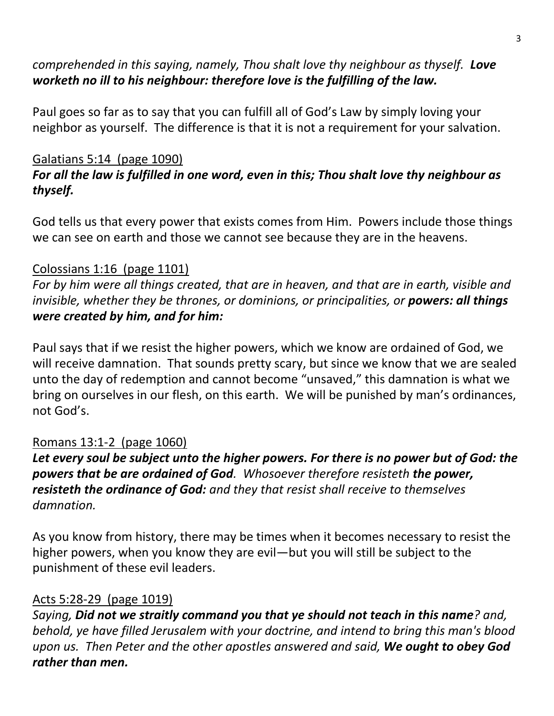# *comprehended in this saying, namely, Thou shalt love thy neighbour as thyself. Love worketh no ill to his neighbour: therefore love is the fulfilling of the law.*

Paul goes so far as to say that you can fulfill all of God's Law by simply loving your neighbor as yourself. The difference is that it is not a requirement for your salvation.

#### Galatians 5:14 (page 1090) *For all the law is fulfilled in one word, even in this; Thou shalt love thy neighbour as thyself.*

God tells us that every power that exists comes from Him. Powers include those things we can see on earth and those we cannot see because they are in the heavens.

## Colossians 1:16 (page 1101)

*For by him were all things created, that are in heaven, and that are in earth, visible and invisible, whether they be thrones, or dominions, or principalities, or powers: all things were created by him, and for him:*

Paul says that if we resist the higher powers, which we know are ordained of God, we will receive damnation. That sounds pretty scary, but since we know that we are sealed unto the day of redemption and cannot become "unsaved," this damnation is what we bring on ourselves in our flesh, on this earth. We will be punished by man's ordinances, not God's.

## Romans 13:1-2 (page 1060)

*Let every soul be subject unto the higher powers. For there is no power but of God: the powers that be are ordained of God. Whosoever therefore resisteth the power, resisteth the ordinance of God: and they that resist shall receive to themselves damnation.* 

As you know from history, there may be times when it becomes necessary to resist the higher powers, when you know they are evil—but you will still be subject to the punishment of these evil leaders.

## Acts 5:28-29 (page 1019)

*Saying, Did not we straitly command you that ye should not teach in this name? and, behold, ye have filled Jerusalem with your doctrine, and intend to bring this man's blood upon us. Then Peter and the other apostles answered and said, We ought to obey God rather than men.*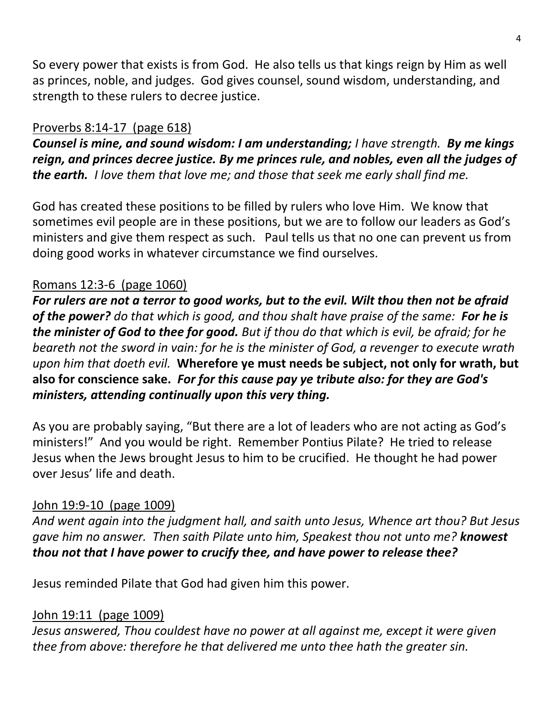So every power that exists is from God. He also tells us that kings reign by Him as well as princes, noble, and judges. God gives counsel, sound wisdom, understanding, and strength to these rulers to decree justice.

# Proverbs 8:14-17 (page 618)

*Counsel is mine, and sound wisdom: I am understanding; I have strength. By me kings reign, and princes decree justice. By me princes rule, and nobles, even all the judges of the earth. I love them that love me; and those that seek me early shall find me.*

God has created these positions to be filled by rulers who love Him. We know that sometimes evil people are in these positions, but we are to follow our leaders as God's ministers and give them respect as such. Paul tells us that no one can prevent us from doing good works in whatever circumstance we find ourselves.

## Romans 12:3-6 (page 1060)

*For rulers are not a terror to good works, but to the evil. Wilt thou then not be afraid of the power? do that which is good, and thou shalt have praise of the same: For he is the minister of God to thee for good. But if thou do that which is evil, be afraid; for he beareth not the sword in vain: for he is the minister of God, a revenger to execute wrath upon him that doeth evil.* **Wherefore ye must needs be subject, not only for wrath, but also for conscience sake.** *For for this cause pay ye tribute also: for they are God's ministers, attending continually upon this very thing.*

As you are probably saying, "But there are a lot of leaders who are not acting as God's ministers!" And you would be right. Remember Pontius Pilate? He tried to release Jesus when the Jews brought Jesus to him to be crucified. He thought he had power over Jesus' life and death.

## John 19:9-10 (page 1009)

*And went again into the judgment hall, and saith unto Jesus, Whence art thou? But Jesus gave him no answer. Then saith Pilate unto him, Speakest thou not unto me? knowest thou not that I have power to crucify thee, and have power to release thee?* 

Jesus reminded Pilate that God had given him this power.

# John 19:11 (page 1009)

*Jesus answered, Thou couldest have no power at all against me, except it were given thee from above: therefore he that delivered me unto thee hath the greater sin.*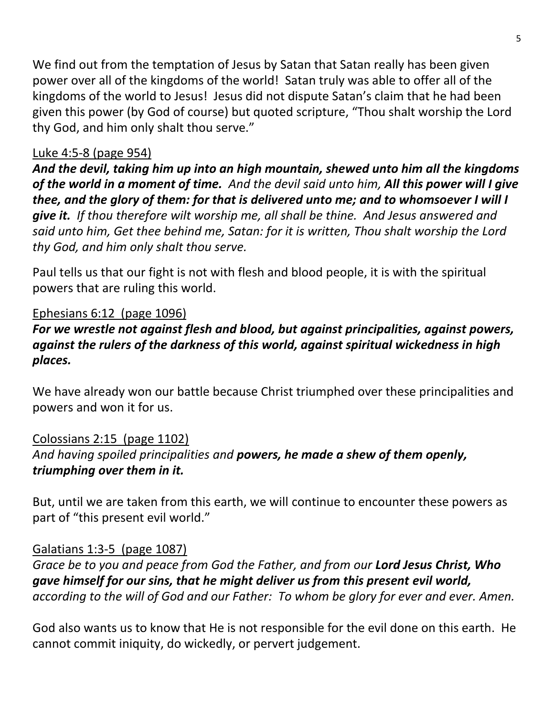We find out from the temptation of Jesus by Satan that Satan really has been given power over all of the kingdoms of the world! Satan truly was able to offer all of the kingdoms of the world to Jesus! Jesus did not dispute Satan's claim that he had been given this power (by God of course) but quoted scripture, "Thou shalt worship the Lord thy God, and him only shalt thou serve."

# Luke 4:5-8 (page 954)

*And the devil, taking him up into an high mountain, shewed unto him all the kingdoms of the world in a moment of time. And the devil said unto him, All this power will I give thee, and the glory of them: for that is delivered unto me; and to whomsoever I will I give it. If thou therefore wilt worship me, all shall be thine. And Jesus answered and said unto him, Get thee behind me, Satan: for it is written, Thou shalt worship the Lord thy God, and him only shalt thou serve.*

Paul tells us that our fight is not with flesh and blood people, it is with the spiritual powers that are ruling this world.

# Ephesians 6:12 (page 1096)

# *For we wrestle not against flesh and blood, but against principalities, against powers, against the rulers of the darkness of this world, against spiritual wickedness in high places.*

We have already won our battle because Christ triumphed over these principalities and powers and won it for us.

## Colossians 2:15 (page 1102) *And having spoiled principalities and powers, he made a shew of them openly, triumphing over them in it.*

But, until we are taken from this earth, we will continue to encounter these powers as part of "this present evil world."

## Galatians 1:3-5 (page 1087)

*Grace be to you and peace from God the Father, and from our Lord Jesus Christ, Who gave himself for our sins, that he might deliver us from this present evil world, according to the will of God and our Father: To whom be glory for ever and ever. Amen.*

God also wants us to know that He is not responsible for the evil done on this earth. He cannot commit iniquity, do wickedly, or pervert judgement.